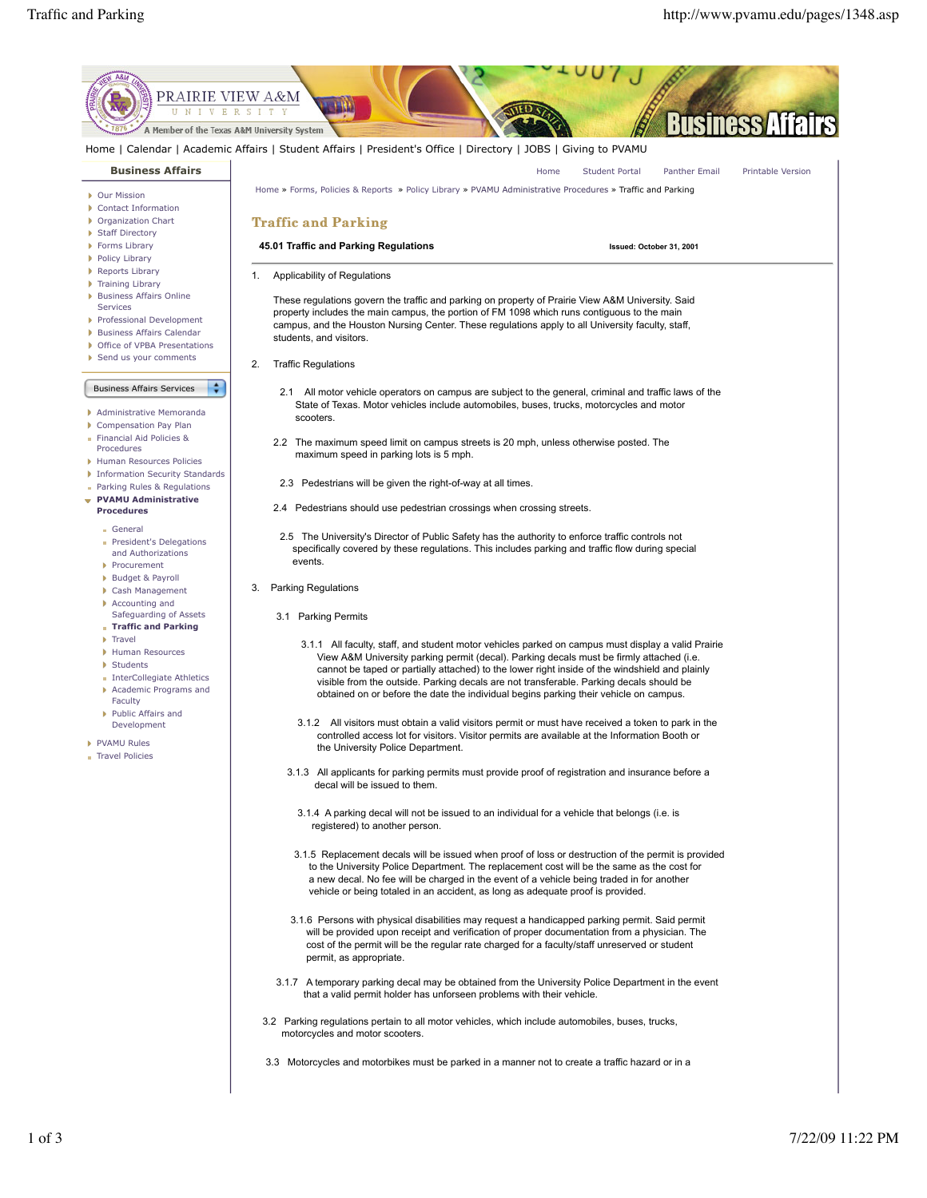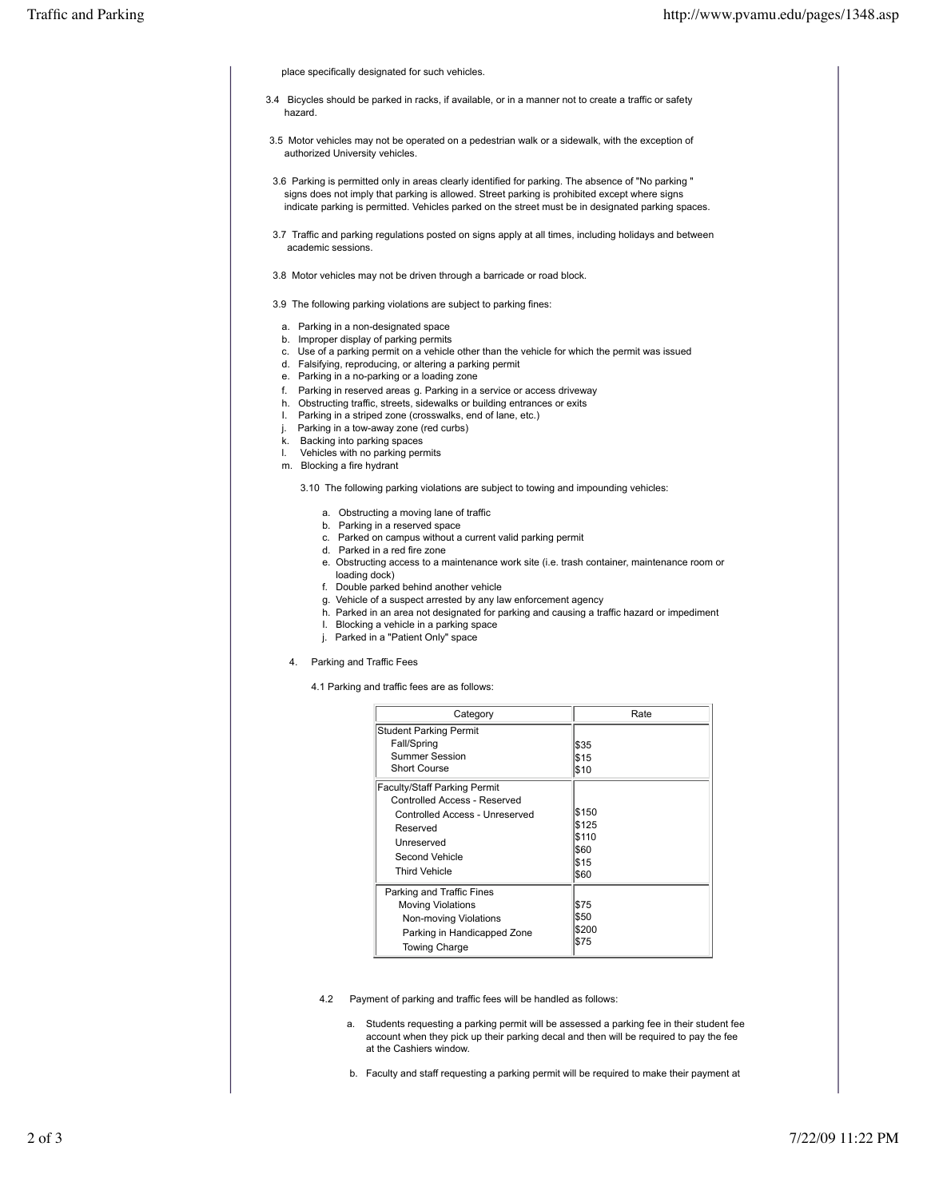place specifically designated for such vehicles.

- 3.4 Bicycles should be parked in racks, if available, or in a manner not to create a traffic or safety hazard.
- 3.5 Motor vehicles may not be operated on a pedestrian walk or a sidewalk, with the exception of authorized University vehicles.
- 3.6 Parking is permitted only in areas clearly identified for parking. The absence of "No parking " signs does not imply that parking is allowed. Street parking is prohibited except where signs indicate parking is permitted. Vehicles parked on the street must be in designated parking spaces.
- 3.7 Traffic and parking regulations posted on signs apply at all times, including holidays and between academic sessions.
- 3.8 Motor vehicles may not be driven through a barricade or road block.
- 3.9 The following parking violations are subject to parking fines:
- a. Parking in a non-designated space
- b. Improper display of parking permits
- c. Use of a parking permit on a vehicle other than the vehicle for which the permit was issued
- d. Falsifying, reproducing, or altering a parking permit
- e. Parking in a no-parking or a loading zone
- f. Parking in reserved areas g. Parking in a service or access driveway
- h. Obstructing traffic, streets, sidewalks or building entrances or exits
- I. Parking in a striped zone (crosswalks, end of lane, etc.)
- j. Parking in a tow-away zone (red curbs)
- k. Backing into parking spaces l. Vehicles with no parking permits
- m. Blocking a fire hydrant
	- 3.10 The following parking violations are subject to towing and impounding vehicles:
		- a. Obstructing a moving lane of traffic
		- b. Parking in a reserved space
		- c. Parked on campus without a current valid parking permit
		- d. Parked in a red fire zone
		- e. Obstructing access to a maintenance work site (i.e. trash container, maintenance room or
		- loading dock)
		- f. Double parked behind another vehicle
		- g. Vehicle of a suspect arrested by any law enforcement agency
		- h. Parked in an area not designated for parking and causing a traffic hazard or impediment
		- I. Blocking a vehicle in a parking space
		- j. Parked in a "Patient Only" space
- 4. Parking and Traffic Fees

4.1 Parking and traffic fees are as follows:

| Category                                                                                                                                                                  | Rate                                            |
|---------------------------------------------------------------------------------------------------------------------------------------------------------------------------|-------------------------------------------------|
| <b>Student Parking Permit</b><br>Fall/Spring<br><b>Summer Session</b><br>Short Course                                                                                     | \$35<br>\$15<br>\$10                            |
| <b>Faculty/Staff Parking Permit</b><br>Controlled Access - Reserved<br>Controlled Access - Unreserved<br>Reserved<br>Unreserved<br>Second Vehicle<br><b>Third Vehicle</b> | \$150<br>\$125<br>\$110<br>\$60<br>\$15<br>\$60 |
| Parking and Traffic Fines<br><b>Moving Violations</b><br>Non-moving Violations<br>Parking in Handicapped Zone<br>Towing Charge                                            | \$75<br>\$50<br>\$200<br>\$75                   |

- 4.2 Payment of parking and traffic fees will be handled as follows:
	- a. Students requesting a parking permit will be assessed a parking fee in their student fee account when they pick up their parking decal and then will be required to pay the fee at the Cashiers window.
	- b. Faculty and staff requesting a parking permit will be required to make their payment at